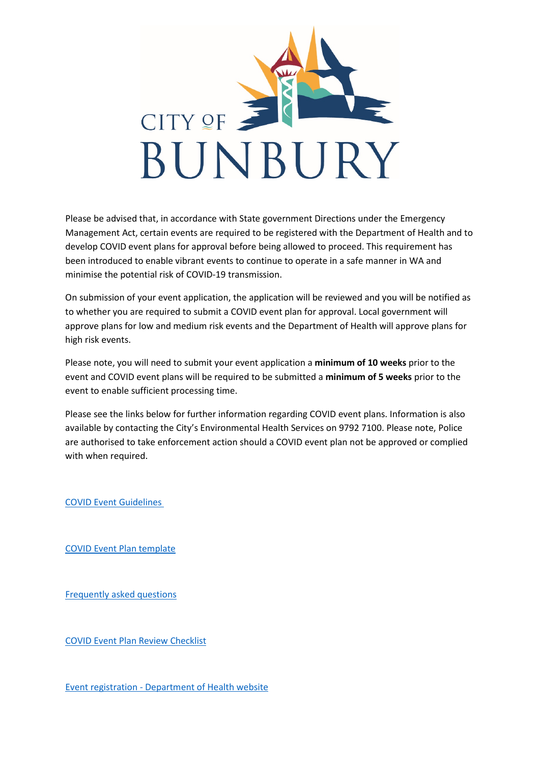

Please be advised that, in accordance with State government Directions under the Emergency Management Act, certain events are required to be registered with the Department of Health and to develop COVID event plans for approval before being allowed to proceed. This requirement has been introduced to enable vibrant events to continue to operate in a safe manner in WA and minimise the potential risk of COVID-19 transmission.

On submission of your event application, the application will be reviewed and you will be notified as to whether you are required to submit a COVID event plan for approval. Local government will approve plans for low and medium risk events and the Department of Health will approve plans for high risk events.

Please note, you will need to submit your event application a **minimum of 10 weeks** prior to the event and COVID event plans will be required to be submitted a **minimum of 5 weeks** prior to the event to enable sufficient processing time.

Please see the links below for further information regarding COVID event plans. Information is also available by contacting the City's Environmental Health Services on 9792 7100. Please note, Police are authorised to take enforcement action should a COVID event plan not be approved or complied with when required.

[COVID Event Guidelines](https://urldefense.com/v3/__https:/www.wa.gov.au/sites/default/files/2020-09/COVID-Events-Guidelines.pdf__;!!Lav448XFWxY!rKXC8lLfC_fNN7s7GCnWp3uEHl3D61Of1xMQTHmeIX1JBdUOqO1eqSFOGB4ZSaL3pc9SJ44$)

[COVID Event Plan template](https://urldefense.com/v3/__https:/www.wa.gov.au/sites/default/files/2020-09/COVID-19-Safety-Plan-Event.pdf__;!!Lav448XFWxY!rKXC8lLfC_fNN7s7GCnWp3uEHl3D61Of1xMQTHmeIX1JBdUOqO1eqSFOGB4ZSaL3U12-ykY$)

[Frequently asked questions](https://urldefense.com/v3/__https:/www.wa.gov.au/government/publications/covid-event-plans-frequently-asked-questions__;!!Lav448XFWxY!rKXC8lLfC_fNN7s7GCnWp3uEHl3D61Of1xMQTHmeIX1JBdUOqO1eqSFOGB4ZSaL3xoINwuQ$)

COVID [Event Plan Review Checklist](https://ww2.health.wa.gov.au/-/media/Corp/Documents/Health-for/Infectious-disease/COVID19/COVID-Event-checklist.pdf)

[Event registration - Department of Health website](https://ww2.health.wa.gov.au/Articles/A_E/Events-registration)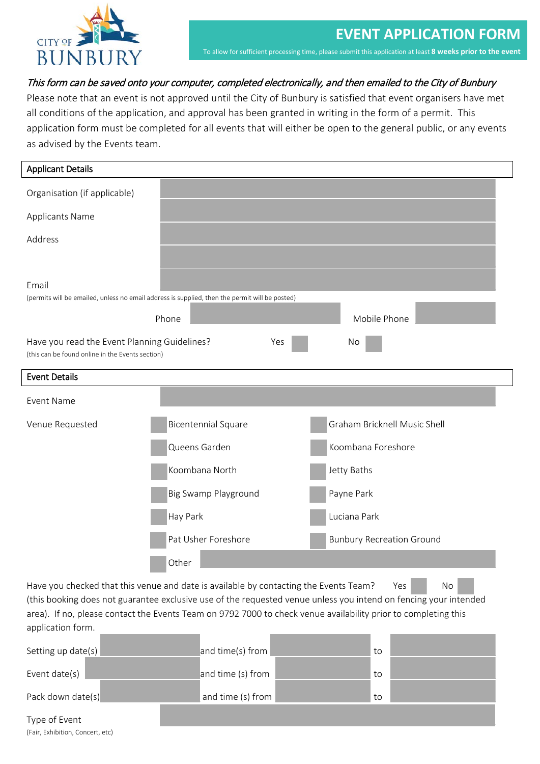

To allow for sufficient processing time, please submit this application at least **8 weeks prior to the event**

# This form can be saved onto your computer, completed electronically, and then emailed to the City of Bunbury

Please note that an event is not approved until the City of Bunbury is satisfied that event organisers have met all conditions of the application, and approval has been granted in writing in the form of a permit. This application form must be completed for all events that will either be open to the general public, or any events as advised by the Events team.

| <b>Applicant Details</b>                                                                         |                                                                                                |                                  |
|--------------------------------------------------------------------------------------------------|------------------------------------------------------------------------------------------------|----------------------------------|
| Organisation (if applicable)                                                                     |                                                                                                |                                  |
| Applicants Name                                                                                  |                                                                                                |                                  |
| Address                                                                                          |                                                                                                |                                  |
|                                                                                                  |                                                                                                |                                  |
| Email                                                                                            |                                                                                                |                                  |
|                                                                                                  | (permits will be emailed, unless no email address is supplied, then the permit will be posted) |                                  |
|                                                                                                  | Phone                                                                                          | Mobile Phone                     |
| Have you read the Event Planning Guidelines?<br>(this can be found online in the Events section) | Yes                                                                                            | No                               |
| <b>Event Details</b>                                                                             |                                                                                                |                                  |
| Event Name                                                                                       |                                                                                                |                                  |
| Venue Requested                                                                                  | <b>Bicentennial Square</b>                                                                     | Graham Bricknell Music Shell     |
|                                                                                                  | Queens Garden                                                                                  | Koombana Foreshore               |
|                                                                                                  | Koombana North                                                                                 | Jetty Baths                      |
|                                                                                                  | Big Swamp Playground                                                                           | Payne Park                       |
|                                                                                                  | Hay Park                                                                                       | Luciana Park                     |
|                                                                                                  | Pat Usher Foreshore                                                                            | <b>Bunbury Recreation Ground</b> |
|                                                                                                  | Other                                                                                          |                                  |

Have you checked that this venue and date is available by contacting the Events Team? Yes No (this booking does not guarantee exclusive use of the requested venue unless you intend on fencing your intended area). If no, please contact the Events Team on 9792 7000 to check venue availability prior to completing this application form.

| Setting up date(s) | and time(s) from  | to |  |
|--------------------|-------------------|----|--|
| Event date(s)      | and time (s) from | to |  |
| Pack down date(s)  | and time (s) from | to |  |
| Type of Event      |                   |    |  |

(Fair, Exhibition, Concert, etc)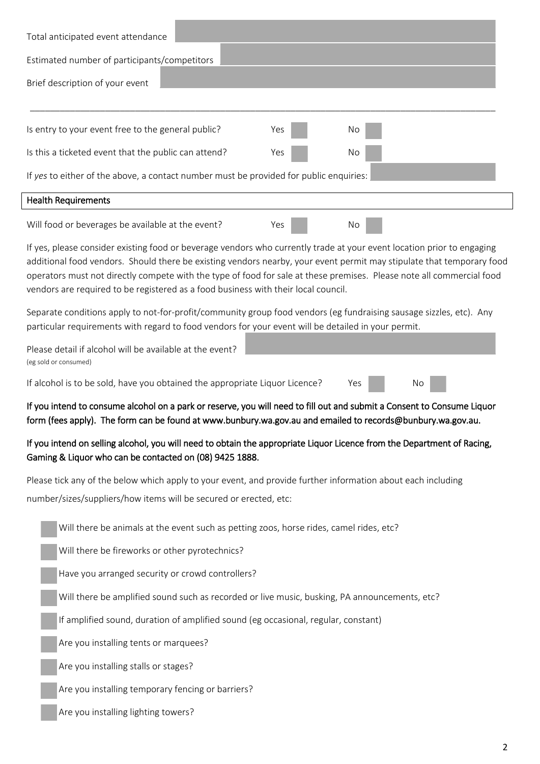| Total anticipated event attendance                                                                                                                                                                                                                                                                                                                                                                                                                             |  |  |  |  |
|----------------------------------------------------------------------------------------------------------------------------------------------------------------------------------------------------------------------------------------------------------------------------------------------------------------------------------------------------------------------------------------------------------------------------------------------------------------|--|--|--|--|
| Estimated number of participants/competitors                                                                                                                                                                                                                                                                                                                                                                                                                   |  |  |  |  |
| Brief description of your event                                                                                                                                                                                                                                                                                                                                                                                                                                |  |  |  |  |
|                                                                                                                                                                                                                                                                                                                                                                                                                                                                |  |  |  |  |
| Is entry to your event free to the general public?<br>Yes<br>No                                                                                                                                                                                                                                                                                                                                                                                                |  |  |  |  |
| Is this a ticketed event that the public can attend?<br>Yes<br>No                                                                                                                                                                                                                                                                                                                                                                                              |  |  |  |  |
| If yes to either of the above, a contact number must be provided for public enquiries:                                                                                                                                                                                                                                                                                                                                                                         |  |  |  |  |
| <b>Health Requirements</b>                                                                                                                                                                                                                                                                                                                                                                                                                                     |  |  |  |  |
| Will food or beverages be available at the event?<br>Yes<br>No                                                                                                                                                                                                                                                                                                                                                                                                 |  |  |  |  |
| If yes, please consider existing food or beverage vendors who currently trade at your event location prior to engaging<br>additional food vendors. Should there be existing vendors nearby, your event permit may stipulate that temporary food<br>operators must not directly compete with the type of food for sale at these premises. Please note all commercial food<br>vendors are required to be registered as a food business with their local council. |  |  |  |  |
| Separate conditions apply to not-for-profit/community group food vendors (eg fundraising sausage sizzles, etc). Any<br>particular requirements with regard to food vendors for your event will be detailed in your permit.                                                                                                                                                                                                                                     |  |  |  |  |
| Please detail if alcohol will be available at the event?<br>(eg sold or consumed)                                                                                                                                                                                                                                                                                                                                                                              |  |  |  |  |
| If alcohol is to be sold, have you obtained the appropriate Liquor Licence?<br>Yes<br>No                                                                                                                                                                                                                                                                                                                                                                       |  |  |  |  |
| If you intend to consume alcohol on a park or reserve, you will need to fill out and submit a Consent to Consume Liquor<br>form (fees apply). The form can be found at www.bunbury.wa.gov.au and emailed to records@bunbury.wa.gov.au.                                                                                                                                                                                                                         |  |  |  |  |
| If you intend on selling alcohol, you will need to obtain the appropriate Liquor Licence from the Department of Racing,<br>Gaming & Liquor who can be contacted on (08) 9425 1888.                                                                                                                                                                                                                                                                             |  |  |  |  |
| Please tick any of the below which apply to your event, and provide further information about each including                                                                                                                                                                                                                                                                                                                                                   |  |  |  |  |
| number/sizes/suppliers/how items will be secured or erected, etc:                                                                                                                                                                                                                                                                                                                                                                                              |  |  |  |  |
| Will there be animals at the event such as petting zoos, horse rides, camel rides, etc?                                                                                                                                                                                                                                                                                                                                                                        |  |  |  |  |
| Will there be fireworks or other pyrotechnics?                                                                                                                                                                                                                                                                                                                                                                                                                 |  |  |  |  |
| Have you arranged security or crowd controllers?                                                                                                                                                                                                                                                                                                                                                                                                               |  |  |  |  |
| Will there be amplified sound such as recorded or live music, busking, PA announcements, etc?                                                                                                                                                                                                                                                                                                                                                                  |  |  |  |  |
| If amplified sound, duration of amplified sound (eg occasional, regular, constant)                                                                                                                                                                                                                                                                                                                                                                             |  |  |  |  |
| Are you installing tents or marquees?                                                                                                                                                                                                                                                                                                                                                                                                                          |  |  |  |  |
| Are you installing stalls or stages?                                                                                                                                                                                                                                                                                                                                                                                                                           |  |  |  |  |
| Are you installing temporary fencing or barriers?                                                                                                                                                                                                                                                                                                                                                                                                              |  |  |  |  |
| Are you installing lighting towers?                                                                                                                                                                                                                                                                                                                                                                                                                            |  |  |  |  |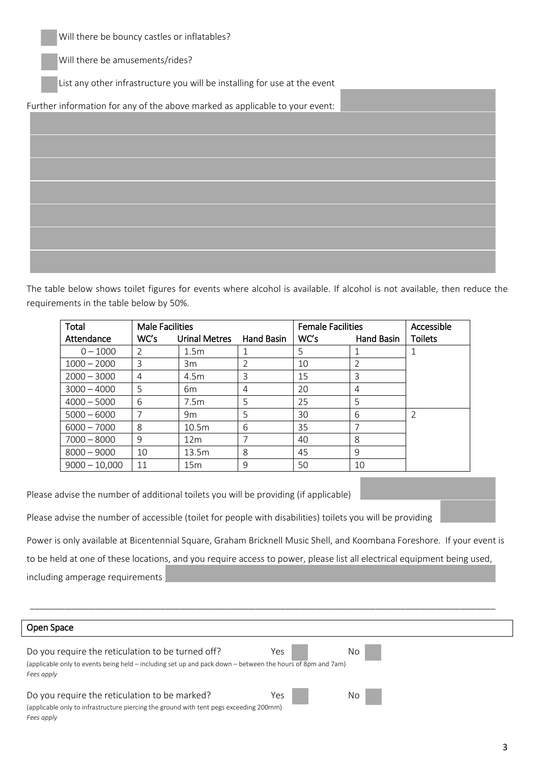Will there be bouncy castles or inflatables?

Will there be amusements/rides?

List any other infrastructure you will be installing for use at the event

Further information for any of the above marked as applicable to your event:

The table below shows toilet figures for events where alcohol is available. If alcohol is not available, then reduce the requirements in the table below by 50%.

| Total           | <b>Male Facilities</b> |                  |                   | <b>Female Facilities</b> |               | Accessible     |
|-----------------|------------------------|------------------|-------------------|--------------------------|---------------|----------------|
| Attendance      | WC's                   | Urinal Metres    | <b>Hand Basin</b> | WC's                     | Hand Basin    | <b>Toilets</b> |
| $0 - 1000$      | 2                      | 1.5 <sub>m</sub> |                   | 5                        |               |                |
| $1000 - 2000$   | 3                      | 3m               | $\mathcal{P}$     | 10                       | $\mathcal{P}$ |                |
| $2000 - 3000$   | 4                      | 4.5m             | 3                 | 15                       | 3             |                |
| $3000 - 4000$   | 5                      | 6 <sub>m</sub>   | 4                 | 20                       | 4             |                |
| $4000 - 5000$   | 6                      | 7.5m             | 5                 | 25                       | 5             |                |
| $5000 - 6000$   | 7                      | 9m               | 5                 | 30                       | 6             | $\mathcal{P}$  |
| $6000 - 7000$   | 8                      | 10.5m            | 6                 | 35                       |               |                |
| $7000 - 8000$   | 9                      | 12 <sub>m</sub>  |                   | 40                       | 8             |                |
| $8000 - 9000$   | 10                     | 13.5m            | 8                 | 45                       | 9             |                |
| $9000 - 10,000$ | 11                     | 15m              | 9                 | 50                       | 10            |                |

Please advise the number of additional toilets you will be providing (if applicable)

Please advise the number of accessible (toilet for people with disabilities) toilets you will be providing

Power is only available at Bicentennial Square, Graham Bricknell Music Shell, and Koombana Foreshore. If your event is to be held at one of these locations, and you require access to power, please list all electrical equipment being used,

\_\_\_\_\_\_\_\_\_\_\_\_\_\_\_\_\_\_\_\_\_\_\_\_\_\_\_\_\_\_\_\_\_\_\_\_\_\_\_\_\_\_\_\_\_\_\_\_\_\_\_\_\_\_\_\_\_\_\_\_\_\_\_\_\_\_\_\_\_\_\_\_\_\_\_\_\_\_\_\_\_\_\_\_\_\_\_\_\_\_\_\_\_

including amperage requirements

# Open Space

| Do you require the reticulation to be turned off?<br>(applicable only to events being held – including set up and pack down – between the hours of 8pm and 7am)<br>Fees apply | Yes | No. |
|-------------------------------------------------------------------------------------------------------------------------------------------------------------------------------|-----|-----|
| Do you require the reticulation to be marked?<br>(applicable only to infrastructure piercing the ground with tent pegs exceeding 200mm)<br>Fees apply                         | Yes | No. |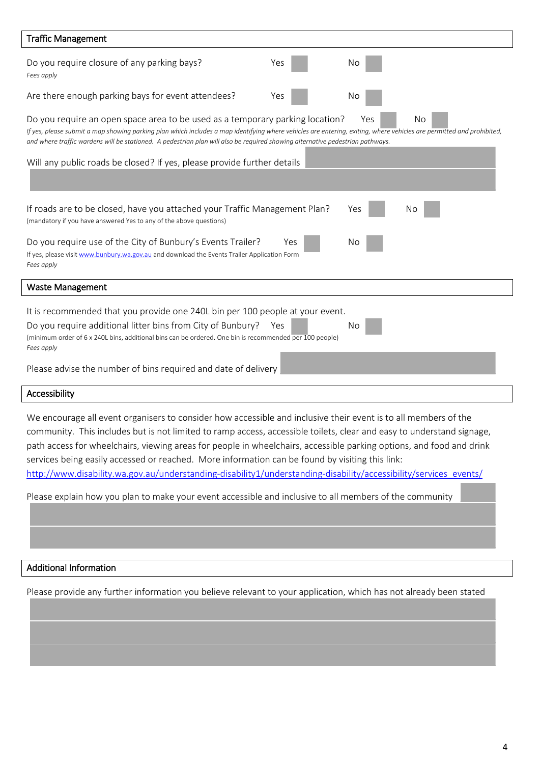| <b>Traffic Management</b>                                                                                                                                                                                                                                                                                                                                                                           |     |           |  |  |  |
|-----------------------------------------------------------------------------------------------------------------------------------------------------------------------------------------------------------------------------------------------------------------------------------------------------------------------------------------------------------------------------------------------------|-----|-----------|--|--|--|
| Do you require closure of any parking bays?<br>Fees apply                                                                                                                                                                                                                                                                                                                                           | Yes | No        |  |  |  |
| Are there enough parking bays for event attendees?                                                                                                                                                                                                                                                                                                                                                  | Yes | No        |  |  |  |
| Do you require an open space area to be used as a temporary parking location?<br>No<br>Yes<br>If yes, please submit a map showing parking plan which includes a map identifying where vehicles are entering, exiting, where vehicles are permitted and prohibited,<br>and where traffic wardens will be stationed. A pedestrian plan will also be required showing alternative pedestrian pathways. |     |           |  |  |  |
| Will any public roads be closed? If yes, please provide further details                                                                                                                                                                                                                                                                                                                             |     |           |  |  |  |
| If roads are to be closed, have you attached your Traffic Management Plan?<br>(mandatory if you have answered Yes to any of the above questions)                                                                                                                                                                                                                                                    |     | Yes<br>No |  |  |  |
| Do you require use of the City of Bunbury's Events Trailer?<br>Yes<br>No<br>If yes, please visit www.bunbury.wa.gov.au and download the Events Trailer Application Form<br>Fees apply                                                                                                                                                                                                               |     |           |  |  |  |
| <b>Waste Management</b>                                                                                                                                                                                                                                                                                                                                                                             |     |           |  |  |  |
| It is recommended that you provide one 240L bin per 100 people at your event.<br>Do you require additional litter bins from City of Bunbury?<br>(minimum order of 6 x 240L bins, additional bins can be ordered. One bin is recommended per 100 people)<br>Fees apply                                                                                                                               | Yes | No        |  |  |  |
| Please advise the number of bins required and date of delivery                                                                                                                                                                                                                                                                                                                                      |     |           |  |  |  |
| Accessibility                                                                                                                                                                                                                                                                                                                                                                                       |     |           |  |  |  |

We encourage all event organisers to consider how accessible and inclusive their event is to all members of the community. This includes but is not limited to ramp access, accessible toilets, clear and easy to understand signage, path access for wheelchairs, viewing areas for people in wheelchairs, accessible parking options, and food and drink services being easily accessed or reached. More information can be found by visiting this link: http://www.disability.wa.gov.au/understanding-disability1/understanding-disability/accessibility/services\_events/

 $\mathcal{L}_\mathcal{L} = \mathcal{L}_\mathcal{L} = \mathcal{L}_\mathcal{L} = \mathcal{L}_\mathcal{L} = \mathcal{L}_\mathcal{L} = \mathcal{L}_\mathcal{L} = \mathcal{L}_\mathcal{L} = \mathcal{L}_\mathcal{L} = \mathcal{L}_\mathcal{L} = \mathcal{L}_\mathcal{L} = \mathcal{L}_\mathcal{L} = \mathcal{L}_\mathcal{L} = \mathcal{L}_\mathcal{L} = \mathcal{L}_\mathcal{L} = \mathcal{L}_\mathcal{L} = \mathcal{L}_\mathcal{L} = \mathcal{L}_\mathcal{L}$ 

 $\mathcal{L}_\mathcal{L} = \mathcal{L}_\mathcal{L} = \mathcal{L}_\mathcal{L} = \mathcal{L}_\mathcal{L} = \mathcal{L}_\mathcal{L} = \mathcal{L}_\mathcal{L} = \mathcal{L}_\mathcal{L} = \mathcal{L}_\mathcal{L} = \mathcal{L}_\mathcal{L} = \mathcal{L}_\mathcal{L} = \mathcal{L}_\mathcal{L} = \mathcal{L}_\mathcal{L} = \mathcal{L}_\mathcal{L} = \mathcal{L}_\mathcal{L} = \mathcal{L}_\mathcal{L} = \mathcal{L}_\mathcal{L} = \mathcal{L}_\mathcal{L}$ 

Please explain how you plan to make your event accessible and inclusive to all members of the community

# Additional Information

Please provide any further information you believe relevant to your application, which has not already been stated

 $\mathcal{L}_\mathcal{L} = \mathcal{L}_\mathcal{L} = \mathcal{L}_\mathcal{L} = \mathcal{L}_\mathcal{L} = \mathcal{L}_\mathcal{L} = \mathcal{L}_\mathcal{L} = \mathcal{L}_\mathcal{L} = \mathcal{L}_\mathcal{L} = \mathcal{L}_\mathcal{L} = \mathcal{L}_\mathcal{L} = \mathcal{L}_\mathcal{L} = \mathcal{L}_\mathcal{L} = \mathcal{L}_\mathcal{L} = \mathcal{L}_\mathcal{L} = \mathcal{L}_\mathcal{L} = \mathcal{L}_\mathcal{L} = \mathcal{L}_\mathcal{L}$ 

 $\mathcal{L}_\mathcal{L} = \mathcal{L}_\mathcal{L} = \mathcal{L}_\mathcal{L} = \mathcal{L}_\mathcal{L} = \mathcal{L}_\mathcal{L} = \mathcal{L}_\mathcal{L} = \mathcal{L}_\mathcal{L} = \mathcal{L}_\mathcal{L} = \mathcal{L}_\mathcal{L} = \mathcal{L}_\mathcal{L} = \mathcal{L}_\mathcal{L} = \mathcal{L}_\mathcal{L} = \mathcal{L}_\mathcal{L} = \mathcal{L}_\mathcal{L} = \mathcal{L}_\mathcal{L} = \mathcal{L}_\mathcal{L} = \mathcal{L}_\mathcal{L}$ 

 $\mathcal{L}_\mathcal{L} = \mathcal{L}_\mathcal{L} = \mathcal{L}_\mathcal{L} = \mathcal{L}_\mathcal{L} = \mathcal{L}_\mathcal{L} = \mathcal{L}_\mathcal{L} = \mathcal{L}_\mathcal{L} = \mathcal{L}_\mathcal{L} = \mathcal{L}_\mathcal{L} = \mathcal{L}_\mathcal{L} = \mathcal{L}_\mathcal{L} = \mathcal{L}_\mathcal{L} = \mathcal{L}_\mathcal{L} = \mathcal{L}_\mathcal{L} = \mathcal{L}_\mathcal{L} = \mathcal{L}_\mathcal{L} = \mathcal{L}_\mathcal{L}$